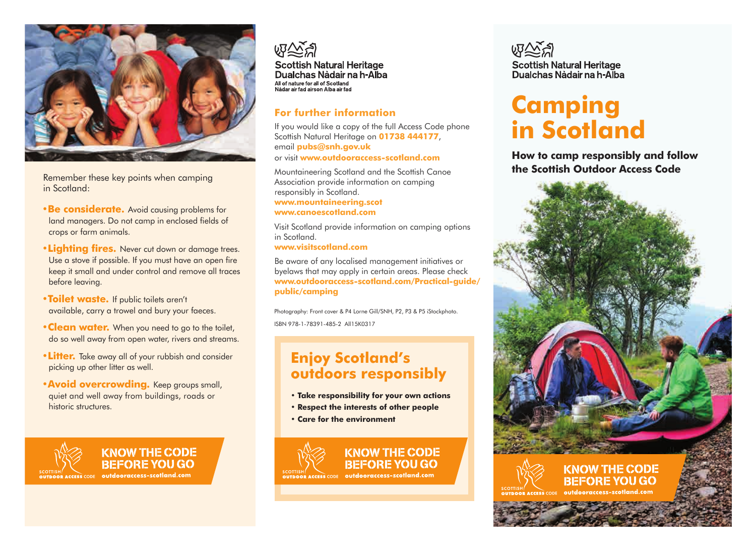

Remember these key points when camping in Scotland:

- **•Be considerate.** Avoid causing problems for land managers. Do not camp in enclosed fields of crops or farm animals.
- **•Lighting fires.** Never cut down or damage trees. Use a stove if possible. If you must have an open fire keep it small and under control and remove all traces before leaving.
- **•Toilet waste.** If public toilets aren't available, carry a trowel and bury your faeces.
- **•Clean water.** When you need to go to the toilet, do so well away from open water, rivers and streams.
- **•Litter.** Take away all of your rubbish and consider picking up other litter as well.
- **Avoid overcrowding.** Keep groups small, quiet and well away from buildings, roads or historic structures.



**KNOW THE CODE BEFORE YOU GO** outdooraccess-scotland.com



**Scottish Natural Heritage** Dualchas Nàdair na h-Alba All of nature for all of Scotland Nàdar air fad airson Alba air fad

### **For further information**

If you would like a copy of the full Access Code phone Scottish Natural Heritage on **01738 444177**, email **pubs@snh.gov.uk**

#### or visit **www.outdooraccess-scotland.com**

Mountaineering Scotland and the Scottish Canoe Association provide information on camping responsibly in Scotland. **www.mountaineering.scot**

**www.canoescotland.com**

Visit Scotland provide information on camping options in Scotland. **www.visitscotland.com**

Be aware of any localised management initiatives or byelaws that may apply in certain areas. Please check **www.outdooraccess-scotland.com/Practical-guide/ public/camping**

Photography: Front cover & P4 Lorne Gill/SNH, P2, P3 & P5 iStockphoto. ISBN 978-1-78391-485-2 All15K0317

## **Enjoy Scotland's outdoors responsibly**

**• Take responsibility for your own actions**

**KNOW THE CODE** 

**BEFORE YOU GO** 

outdooraccess-scotland.com

- **Respect the interests of other people**
- **Care for the environment**



## **Scottish Natural Heritage** Dualchas Nàdair na h-Alba

## **Camping in Scotland**

**How to camp responsibly and follow the Scottish Outdoor Access Code**